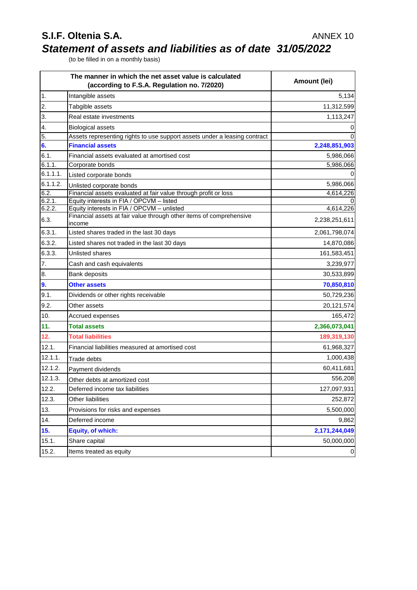## **S.I.F. Oltenia S.A.** *Statement of assets and liabilities as of date 31/05/2022*

(to be filled in on a monthly basis)

|                | The manner in which the net asset value is calculated<br>(according to F.S.A. Regulation no. 7/2020)        | Amount (lei)  |  |
|----------------|-------------------------------------------------------------------------------------------------------------|---------------|--|
| 1.             | Intangible assets                                                                                           | 5,134         |  |
| 2.             | Tabgible assets                                                                                             | 11,312,599    |  |
| 3.             | Real estate investments                                                                                     | 1,113,247     |  |
| 4.             | <b>Biological assets</b>                                                                                    | 0             |  |
| 5.             | Assets representing rights to use support assets under a leasing contract                                   | $\mathbf 0$   |  |
| 6.             | <b>Financial assets</b>                                                                                     | 2,248,851,903 |  |
| 6.1.           | Financial assets evaluated at amortised cost                                                                | 5,986,066     |  |
| 6.1.1.         | Corporate bonds                                                                                             | 5,986,066     |  |
| 6.1.1.1.       | Listed corporate bonds                                                                                      | 0             |  |
| 6.1.1.2.       | Unlisted corporate bonds                                                                                    | 5,986,066     |  |
| 6.2.<br>6.2.1. | Financial assets evaluated at fair value through profit or loss<br>Equity interests in FIA / OPCVM - listed | 4,614,226     |  |
| 6.2.2.         | Equity interests in FIA / OPCVM - unlisted                                                                  | 4,614,226     |  |
| 6.3.           | Financial assets at fair value through other items of comprehensive<br>income                               | 2,238,251,611 |  |
| 6.3.1.         | Listed shares traded in the last 30 days                                                                    | 2,061,798,074 |  |
| 6.3.2.         | Listed shares not traded in the last 30 days                                                                | 14,870,086    |  |
| 6.3.3.         | Unlisted shares                                                                                             | 161,583,451   |  |
| 7.             | Cash and cash equivalents                                                                                   | 3,239,977     |  |
| 8.             | <b>Bank deposits</b>                                                                                        | 30,533,899    |  |
| 9.             | <b>Other assets</b>                                                                                         | 70,850,810    |  |
| 9.1.           | Dividends or other rights receivable                                                                        | 50,729,236    |  |
| 9.2.           | Other assets                                                                                                | 20,121,574    |  |
| 10.            | Accrued expenses                                                                                            | 165,472       |  |
| 11.            | <b>Total assets</b>                                                                                         | 2,366,073,041 |  |
| 12.            | <b>Total liabilities</b>                                                                                    | 189,319,130   |  |
| 12.1.          | Financial liabilities measured at amortised cost                                                            | 61,968,327    |  |
| 12.1.1.        | <b>Trade debts</b>                                                                                          | 1,000,438     |  |
| 12.1.2.        | Payment dividends                                                                                           | 60,411,681    |  |
| 12.1.3.        | Other debts at amortized cost                                                                               | 556,208       |  |
| 12.2.          | Deferred income tax liabilities                                                                             | 127,097,931   |  |
| 12.3.          | Other liabilities                                                                                           | 252,872       |  |
| 13.            | Provisions for risks and expenses                                                                           | 5,500,000     |  |
| 14.            | Deferred income                                                                                             | 9,862         |  |
| 15.            | Equity, of which:                                                                                           | 2,171,244,049 |  |
| 15.1.          | Share capital                                                                                               | 50,000,000    |  |
| 15.2.          | Items treated as equity                                                                                     | $\pmb{0}$     |  |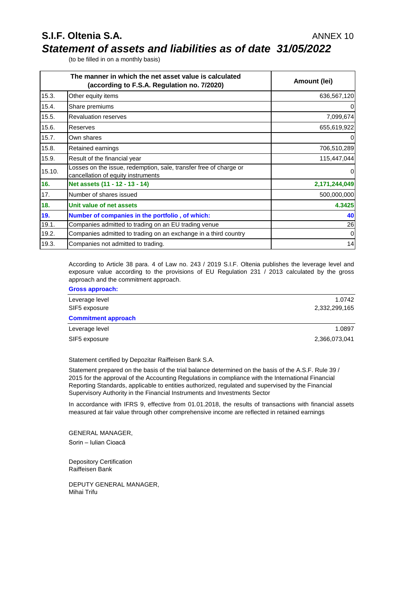## **S.I.F. Oltenia S.A.** *Statement of assets and liabilities as of date 31/05/2022*

(to be filled in on a monthly basis)

|        | The manner in which the net asset value is calculated<br>(according to F.S.A. Regulation no. 7/2020)    | Amount (lei)  |  |
|--------|---------------------------------------------------------------------------------------------------------|---------------|--|
| 15.3.  | Other equity items                                                                                      | 636,567,120   |  |
| 15.4.  | Share premiums                                                                                          | 0             |  |
| 15.5.  | <b>Revaluation reserves</b>                                                                             | 7,099,674     |  |
| 15.6.  | Reserves                                                                                                | 655,619,922   |  |
| 15.7.  | Own shares                                                                                              | $\mathbf 0$   |  |
| 15.8.  | Retained earnings                                                                                       | 706,510,289   |  |
| 15.9.  | Result of the financial year                                                                            | 115,447,044   |  |
| 15.10. | Losses on the issue, redemption, sale, transfer free of charge or<br>cancellation of equity instruments | $\mathbf 0$   |  |
| 16.    | Net assets (11 - 12 - 13 - 14)                                                                          | 2,171,244,049 |  |
| 17.    | Number of shares issued                                                                                 | 500,000,000   |  |
| 18.    | Unit value of net assets                                                                                | 4.3425        |  |
| 19.    | Number of companies in the portfolio, of which:                                                         | 40            |  |
| 19.1.  | Companies admitted to trading on an EU trading venue                                                    | 26            |  |
| 19.2.  | Companies admitted to trading on an exchange in a third country                                         | $\mathbf 0$   |  |
| 19.3.  | Companies not admitted to trading.                                                                      | 14            |  |

According to Article 38 para. 4 of Law no. 243 / 2019 S.I.F. Oltenia publishes the leverage level and exposure value according to the provisions of EU Regulation 231 / 2013 calculated by the gross approach and the commitment approach.

| <b>Gross approach:</b>     |               |  |  |  |
|----------------------------|---------------|--|--|--|
| Leverage level             | 1.0742        |  |  |  |
| SIF5 exposure              | 2,332,299,165 |  |  |  |
| <b>Commitment approach</b> |               |  |  |  |
| Leverage level             | 1.0897        |  |  |  |
| SIF5 exposure              | 2,366,073,041 |  |  |  |

Statement certified by Depozitar Raiffeisen Bank S.A.

Statement prepared on the basis of the trial balance determined on the basis of the A.S.F. Rule 39 / 2015 for the approval of the Accounting Regulations in compliance with the International Financial Reporting Standards, applicable to entities authorized, regulated and supervised by the Financial Supervisory Authority in the Financial Instruments and Investments Sector

In accordance with IFRS 9, effective from 01.01.2018, the results of transactions with financial assets measured at fair value through other comprehensive income are reflected in retained earnings

GENERAL MANAGER, Sorin – Iulian Cioacă

Depository Certification Raiffeisen Bank

DEPUTY GENERAL MANAGER, Mihai Trifu